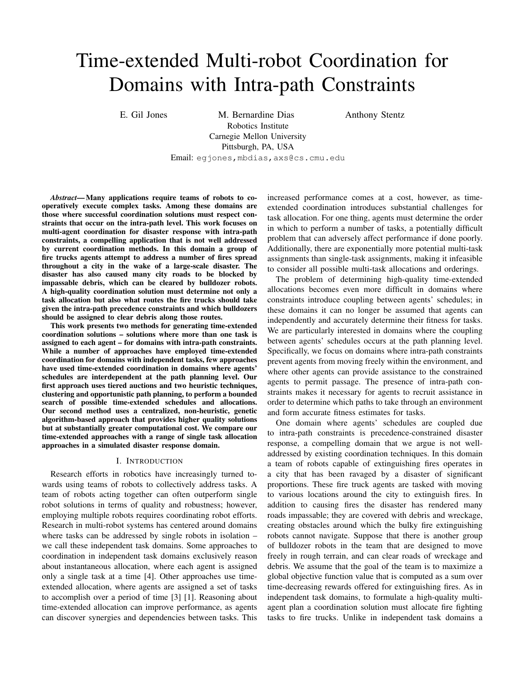# Time-extended Multi-robot Coordination for Domains with Intra-path Constraints

E. Gil Jones M. Bernardine Dias Anthony Stentz

Robotics Institute Carnegie Mellon University Pittsburgh, PA, USA Email: egjones,mbdias,axs@cs.cmu.edu

*Abstract*— Many applications require teams of robots to cooperatively execute complex tasks. Among these domains are those where successful coordination solutions must respect constraints that occur on the intra-path level. This work focuses on multi-agent coordination for disaster response with intra-path constraints, a compelling application that is not well addressed by current coordination methods. In this domain a group of fire trucks agents attempt to address a number of fires spread throughout a city in the wake of a large-scale disaster. The disaster has also caused many city roads to be blocked by impassable debris, which can be cleared by bulldozer robots. A high-quality coordination solution must determine not only a task allocation but also what routes the fire trucks should take given the intra-path precedence constraints and which bulldozers should be assigned to clear debris along those routes.

This work presents two methods for generating time-extended coordination solutions – solutions where more than one task is assigned to each agent – for domains with intra-path constraints. While a number of approaches have employed time-extended coordination for domains with independent tasks, few approaches have used time-extended coordination in domains where agents' schedules are interdependent at the path planning level. Our first approach uses tiered auctions and two heuristic techniques, clustering and opportunistic path planning, to perform a bounded search of possible time-extended schedules and allocations. Our second method uses a centralized, non-heuristic, genetic algorithm-based approach that provides higher quality solutions but at substantially greater computational cost. We compare our time-extended approaches with a range of single task allocation approaches in a simulated disaster response domain.

# I. INTRODUCTION

Research efforts in robotics have increasingly turned towards using teams of robots to collectively address tasks. A team of robots acting together can often outperform single robot solutions in terms of quality and robustness; however, employing multiple robots requires coordinating robot efforts. Research in multi-robot systems has centered around domains where tasks can be addressed by single robots in isolation – we call these independent task domains. Some approaches to coordination in independent task domains exclusively reason about instantaneous allocation, where each agent is assigned only a single task at a time [4]. Other approaches use timeextended allocation, where agents are assigned a set of tasks to accomplish over a period of time [3] [1]. Reasoning about time-extended allocation can improve performance, as agents can discover synergies and dependencies between tasks. This increased performance comes at a cost, however, as timeextended coordination introduces substantial challenges for task allocation. For one thing, agents must determine the order in which to perform a number of tasks, a potentially difficult problem that can adversely affect performance if done poorly. Additionally, there are exponentially more potential multi-task assignments than single-task assignments, making it infeasible to consider all possible multi-task allocations and orderings.

The problem of determining high-quality time-extended allocations becomes even more difficult in domains where constraints introduce coupling between agents' schedules; in these domains it can no longer be assumed that agents can independently and accurately determine their fitness for tasks. We are particularly interested in domains where the coupling between agents' schedules occurs at the path planning level. Specifically, we focus on domains where intra-path constraints prevent agents from moving freely within the environment, and where other agents can provide assistance to the constrained agents to permit passage. The presence of intra-path constraints makes it necessary for agents to recruit assistance in order to determine which paths to take through an environment and form accurate fitness estimates for tasks.

One domain where agents' schedules are coupled due to intra-path constraints is precedence-constrained disaster response, a compelling domain that we argue is not welladdressed by existing coordination techniques. In this domain a team of robots capable of extinguishing fires operates in a city that has been ravaged by a disaster of significant proportions. These fire truck agents are tasked with moving to various locations around the city to extinguish fires. In addition to causing fires the disaster has rendered many roads impassable; they are covered with debris and wreckage, creating obstacles around which the bulky fire extinguishing robots cannot navigate. Suppose that there is another group of bulldozer robots in the team that are designed to move freely in rough terrain, and can clear roads of wreckage and debris. We assume that the goal of the team is to maximize a global objective function value that is computed as a sum over time-decreasing rewards offered for extinguishing fires. As in independent task domains, to formulate a high-quality multiagent plan a coordination solution must allocate fire fighting tasks to fire trucks. Unlike in independent task domains a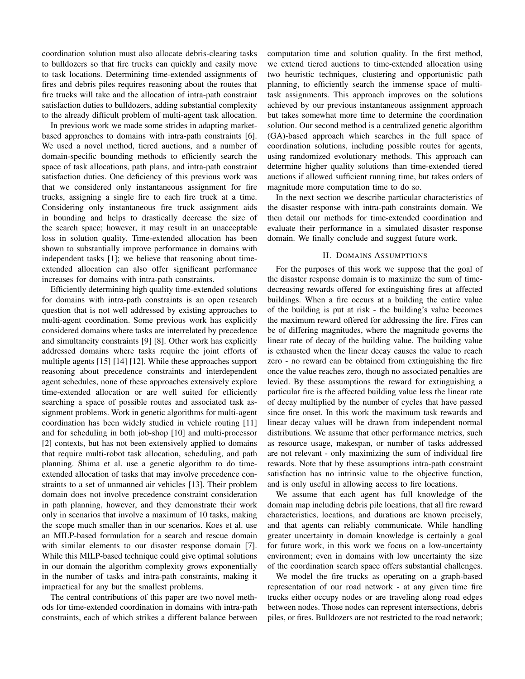coordination solution must also allocate debris-clearing tasks to bulldozers so that fire trucks can quickly and easily move to task locations. Determining time-extended assignments of fires and debris piles requires reasoning about the routes that fire trucks will take and the allocation of intra-path constraint satisfaction duties to bulldozers, adding substantial complexity to the already difficult problem of multi-agent task allocation.

In previous work we made some strides in adapting marketbased approaches to domains with intra-path constraints [6]. We used a novel method, tiered auctions, and a number of domain-specific bounding methods to efficiently search the space of task allocations, path plans, and intra-path constraint satisfaction duties. One deficiency of this previous work was that we considered only instantaneous assignment for fire trucks, assigning a single fire to each fire truck at a time. Considering only instantaneous fire truck assignment aids in bounding and helps to drastically decrease the size of the search space; however, it may result in an unacceptable loss in solution quality. Time-extended allocation has been shown to substantially improve performance in domains with independent tasks [1]; we believe that reasoning about timeextended allocation can also offer significant performance increases for domains with intra-path constraints.

Efficiently determining high quality time-extended solutions for domains with intra-path constraints is an open research question that is not well addressed by existing approaches to multi-agent coordination. Some previous work has explicitly considered domains where tasks are interrelated by precedence and simultaneity constraints [9] [8]. Other work has explicitly addressed domains where tasks require the joint efforts of multiple agents [15] [14] [12]. While these approaches support reasoning about precedence constraints and interdependent agent schedules, none of these approaches extensively explore time-extended allocation or are well suited for efficiently searching a space of possible routes and associated task assignment problems. Work in genetic algorithms for multi-agent coordination has been widely studied in vehicle routing [11] and for scheduling in both job-shop [10] and multi-processor [2] contexts, but has not been extensively applied to domains that require multi-robot task allocation, scheduling, and path planning. Shima et al. use a genetic algorithm to do timeextended allocation of tasks that may involve precedence constraints to a set of unmanned air vehicles [13]. Their problem domain does not involve precedence constraint consideration in path planning, however, and they demonstrate their work only in scenarios that involve a maximum of 10 tasks, making the scope much smaller than in our scenarios. Koes et al. use an MILP-based formulation for a search and rescue domain with similar elements to our disaster response domain [7]. While this MILP-based technique could give optimal solutions in our domain the algorithm complexity grows exponentially in the number of tasks and intra-path constraints, making it impractical for any but the smallest problems.

The central contributions of this paper are two novel methods for time-extended coordination in domains with intra-path constraints, each of which strikes a different balance between computation time and solution quality. In the first method, we extend tiered auctions to time-extended allocation using two heuristic techniques, clustering and opportunistic path planning, to efficiently search the immense space of multitask assignments. This approach improves on the solutions achieved by our previous instantaneous assignment approach but takes somewhat more time to determine the coordination solution. Our second method is a centralized genetic algorithm (GA)-based approach which searches in the full space of coordination solutions, including possible routes for agents, using randomized evolutionary methods. This approach can determine higher quality solutions than time-extended tiered auctions if allowed sufficient running time, but takes orders of magnitude more computation time to do so.

In the next section we describe particular characteristics of the disaster response with intra-path constraints domain. We then detail our methods for time-extended coordination and evaluate their performance in a simulated disaster response domain. We finally conclude and suggest future work.

## II. DOMAINS ASSUMPTIONS

For the purposes of this work we suppose that the goal of the disaster response domain is to maximize the sum of timedecreasing rewards offered for extinguishing fires at affected buildings. When a fire occurs at a building the entire value of the building is put at risk - the building's value becomes the maximum reward offered for addressing the fire. Fires can be of differing magnitudes, where the magnitude governs the linear rate of decay of the building value. The building value is exhausted when the linear decay causes the value to reach zero - no reward can be obtained from extinguishing the fire once the value reaches zero, though no associated penalties are levied. By these assumptions the reward for extinguishing a particular fire is the affected building value less the linear rate of decay multiplied by the number of cycles that have passed since fire onset. In this work the maximum task rewards and linear decay values will be drawn from independent normal distributions. We assume that other performance metrics, such as resource usage, makespan, or number of tasks addressed are not relevant - only maximizing the sum of individual fire rewards. Note that by these assumptions intra-path constraint satisfaction has no intrinsic value to the objective function, and is only useful in allowing access to fire locations.

We assume that each agent has full knowledge of the domain map including debris pile locations, that all fire reward characteristics, locations, and durations are known precisely, and that agents can reliably communicate. While handling greater uncertainty in domain knowledge is certainly a goal for future work, in this work we focus on a low-uncertainty environment; even in domains with low uncertainty the size of the coordination search space offers substantial challenges.

We model the fire trucks as operating on a graph-based representation of our road network - at any given time fire trucks either occupy nodes or are traveling along road edges between nodes. Those nodes can represent intersections, debris piles, or fires. Bulldozers are not restricted to the road network;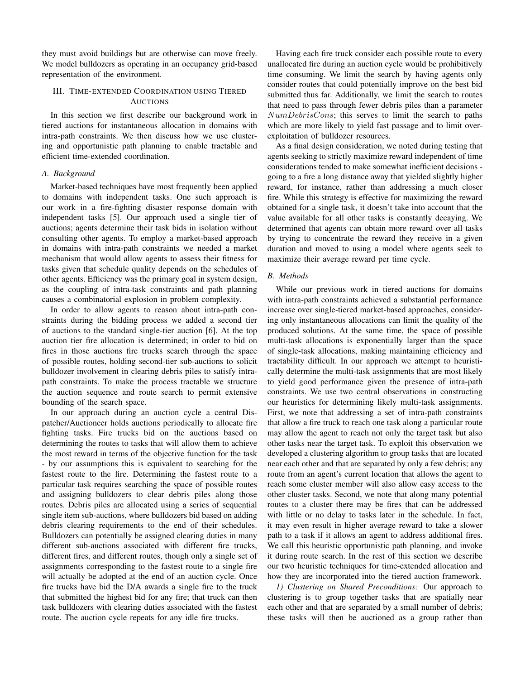they must avoid buildings but are otherwise can move freely. We model bulldozers as operating in an occupancy grid-based representation of the environment.

# III. TIME-EXTENDED COORDINATION USING TIERED AUCTIONS

In this section we first describe our background work in tiered auctions for instantaneous allocation in domains with intra-path constraints. We then discuss how we use clustering and opportunistic path planning to enable tractable and efficient time-extended coordination.

# *A. Background*

Market-based techniques have most frequently been applied to domains with independent tasks. One such approach is our work in a fire-fighting disaster response domain with independent tasks [5]. Our approach used a single tier of auctions; agents determine their task bids in isolation without consulting other agents. To employ a market-based approach in domains with intra-path constraints we needed a market mechanism that would allow agents to assess their fitness for tasks given that schedule quality depends on the schedules of other agents. Efficiency was the primary goal in system design, as the coupling of intra-task constraints and path planning causes a combinatorial explosion in problem complexity.

In order to allow agents to reason about intra-path constraints during the bidding process we added a second tier of auctions to the standard single-tier auction [6]. At the top auction tier fire allocation is determined; in order to bid on fires in those auctions fire trucks search through the space of possible routes, holding second-tier sub-auctions to solicit bulldozer involvement in clearing debris piles to satisfy intrapath constraints. To make the process tractable we structure the auction sequence and route search to permit extensive bounding of the search space.

In our approach during an auction cycle a central Dispatcher/Auctioneer holds auctions periodically to allocate fire fighting tasks. Fire trucks bid on the auctions based on determining the routes to tasks that will allow them to achieve the most reward in terms of the objective function for the task - by our assumptions this is equivalent to searching for the fastest route to the fire. Determining the fastest route to a particular task requires searching the space of possible routes and assigning bulldozers to clear debris piles along those routes. Debris piles are allocated using a series of sequential single item sub-auctions, where bulldozers bid based on adding debris clearing requirements to the end of their schedules. Bulldozers can potentially be assigned clearing duties in many different sub-auctions associated with different fire trucks, different fires, and different routes, though only a single set of assignments corresponding to the fastest route to a single fire will actually be adopted at the end of an auction cycle. Once fire trucks have bid the D/A awards a single fire to the truck that submitted the highest bid for any fire; that truck can then task bulldozers with clearing duties associated with the fastest route. The auction cycle repeats for any idle fire trucks.

Having each fire truck consider each possible route to every unallocated fire during an auction cycle would be prohibitively time consuming. We limit the search by having agents only consider routes that could potentially improve on the best bid submitted thus far. Additionally, we limit the search to routes that need to pass through fewer debris piles than a parameter  $NumDebrisCons$ ; this serves to limit the search to paths which are more likely to yield fast passage and to limit overexploitation of bulldozer resources.

As a final design consideration, we noted during testing that agents seeking to strictly maximize reward independent of time considerations tended to make somewhat inefficient decisions going to a fire a long distance away that yielded slightly higher reward, for instance, rather than addressing a much closer fire. While this strategy is effective for maximizing the reward obtained for a single task, it doesn't take into account that the value available for all other tasks is constantly decaying. We determined that agents can obtain more reward over all tasks by trying to concentrate the reward they receive in a given duration and moved to using a model where agents seek to maximize their average reward per time cycle.

# *B. Methods*

While our previous work in tiered auctions for domains with intra-path constraints achieved a substantial performance increase over single-tiered market-based approaches, considering only instantaneous allocations can limit the quality of the produced solutions. At the same time, the space of possible multi-task allocations is exponentially larger than the space of single-task allocations, making maintaining efficiency and tractability difficult. In our approach we attempt to heuristically determine the multi-task assignments that are most likely to yield good performance given the presence of intra-path constraints. We use two central observations in constructing our heuristics for determining likely multi-task assignments. First, we note that addressing a set of intra-path constraints that allow a fire truck to reach one task along a particular route may allow the agent to reach not only the target task but also other tasks near the target task. To exploit this observation we developed a clustering algorithm to group tasks that are located near each other and that are separated by only a few debris; any route from an agent's current location that allows the agent to reach some cluster member will also allow easy access to the other cluster tasks. Second, we note that along many potential routes to a cluster there may be fires that can be addressed with little or no delay to tasks later in the schedule. In fact, it may even result in higher average reward to take a slower path to a task if it allows an agent to address additional fires. We call this heuristic opportunistic path planning, and invoke it during route search. In the rest of this section we describe our two heuristic techniques for time-extended allocation and how they are incorporated into the tiered auction framework.

*1) Clustering on Shared Preconditions:* Our approach to clustering is to group together tasks that are spatially near each other and that are separated by a small number of debris; these tasks will then be auctioned as a group rather than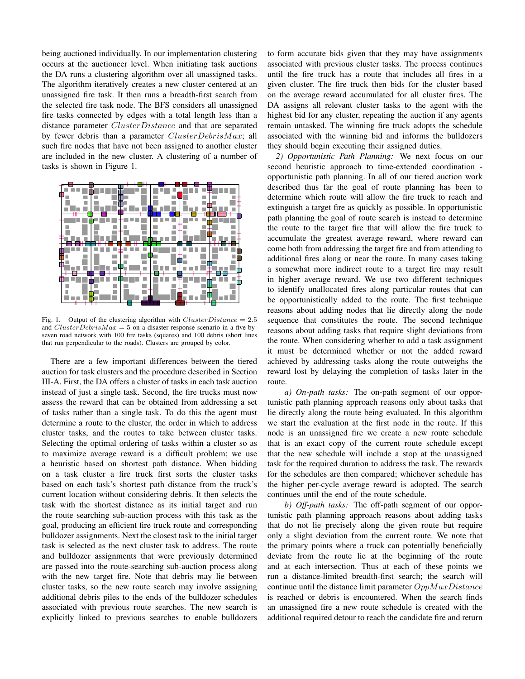being auctioned individually. In our implementation clustering occurs at the auctioneer level. When initiating task auctions the DA runs a clustering algorithm over all unassigned tasks. The algorithm iteratively creates a new cluster centered at an unassigned fire task. It then runs a breadth-first search from the selected fire task node. The BFS considers all unassigned fire tasks connected by edges with a total length less than a distance parameter *ClusterDistance* and that are separated by fewer debris than a parameter ClusterDebrisMax; all such fire nodes that have not been assigned to another cluster are included in the new cluster. A clustering of a number of tasks is shown in Figure 1.



Fig. 1. Output of the clustering algorithm with  $ClusterDistance = 2.5$ and  $ClusterDebrisMax = 5$  on a disaster response scenario in a five-byseven road network with 100 fire tasks (squares) and 100 debris (short lines that run perpendicular to the roads). Clusters are grouped by color.

There are a few important differences between the tiered auction for task clusters and the procedure described in Section III-A. First, the DA offers a cluster of tasks in each task auction instead of just a single task. Second, the fire trucks must now assess the reward that can be obtained from addressing a set of tasks rather than a single task. To do this the agent must determine a route to the cluster, the order in which to address cluster tasks, and the routes to take between cluster tasks. Selecting the optimal ordering of tasks within a cluster so as to maximize average reward is a difficult problem; we use a heuristic based on shortest path distance. When bidding on a task cluster a fire truck first sorts the cluster tasks based on each task's shortest path distance from the truck's current location without considering debris. It then selects the task with the shortest distance as its initial target and run the route searching sub-auction process with this task as the goal, producing an efficient fire truck route and corresponding bulldozer assignments. Next the closest task to the initial target task is selected as the next cluster task to address. The route and bulldozer assignments that were previously determined are passed into the route-searching sub-auction process along with the new target fire. Note that debris may lie between cluster tasks, so the new route search may involve assigning additional debris piles to the ends of the bulldozer schedules associated with previous route searches. The new search is explicitly linked to previous searches to enable bulldozers

to form accurate bids given that they may have assignments associated with previous cluster tasks. The process continues until the fire truck has a route that includes all fires in a given cluster. The fire truck then bids for the cluster based on the average reward accumulated for all cluster fires. The DA assigns all relevant cluster tasks to the agent with the highest bid for any cluster, repeating the auction if any agents remain untasked. The winning fire truck adopts the schedule associated with the winning bid and informs the bulldozers they should begin executing their assigned duties.

*2) Opportunistic Path Planning:* We next focus on our second heuristic approach to time-extended coordination opportunistic path planning. In all of our tiered auction work described thus far the goal of route planning has been to determine which route will allow the fire truck to reach and extinguish a target fire as quickly as possible. In opportunistic path planning the goal of route search is instead to determine the route to the target fire that will allow the fire truck to accumulate the greatest average reward, where reward can come both from addressing the target fire and from attending to additional fires along or near the route. In many cases taking a somewhat more indirect route to a target fire may result in higher average reward. We use two different techniques to identify unallocated fires along particular routes that can be opportunistically added to the route. The first technique reasons about adding nodes that lie directly along the node sequence that constitutes the route. The second technique reasons about adding tasks that require slight deviations from the route. When considering whether to add a task assignment it must be determined whether or not the added reward achieved by addressing tasks along the route outweighs the reward lost by delaying the completion of tasks later in the route.

*a) On-path tasks:* The on-path segment of our opportunistic path planning approach reasons only about tasks that lie directly along the route being evaluated. In this algorithm we start the evaluation at the first node in the route. If this node is an unassigned fire we create a new route schedule that is an exact copy of the current route schedule except that the new schedule will include a stop at the unassigned task for the required duration to address the task. The rewards for the schedules are then compared; whichever schedule has the higher per-cycle average reward is adopted. The search continues until the end of the route schedule.

*b) Off-path tasks:* The off-path segment of our opportunistic path planning approach reasons about adding tasks that do not lie precisely along the given route but require only a slight deviation from the current route. We note that the primary points where a truck can potentially beneficially deviate from the route lie at the beginning of the route and at each intersection. Thus at each of these points we run a distance-limited breadth-first search; the search will continue until the distance limit parameter  $OppMaxDistance$ is reached or debris is encountered. When the search finds an unassigned fire a new route schedule is created with the additional required detour to reach the candidate fire and return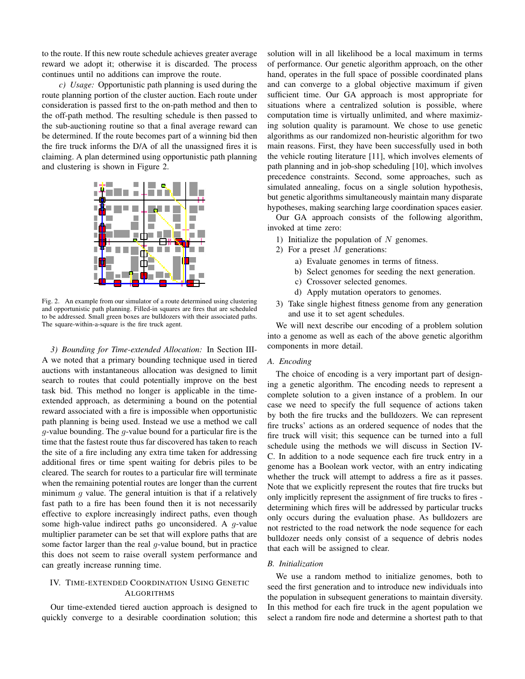to the route. If this new route schedule achieves greater average reward we adopt it; otherwise it is discarded. The process continues until no additions can improve the route.

*c) Usage:* Opportunistic path planning is used during the route planning portion of the cluster auction. Each route under consideration is passed first to the on-path method and then to the off-path method. The resulting schedule is then passed to the sub-auctioning routine so that a final average reward can be determined. If the route becomes part of a winning bid then the fire truck informs the D/A of all the unassigned fires it is claiming. A plan determined using opportunistic path planning and clustering is shown in Figure 2.



Fig. 2. An example from our simulator of a route determined using clustering and opportunistic path planning. Filled-in squares are fires that are scheduled to be addressed. Small green boxes are bulldozers with their associated paths. The square-within-a-square is the fire truck agent.

*3) Bounding for Time-extended Allocation:* In Section III-A we noted that a primary bounding technique used in tiered auctions with instantaneous allocation was designed to limit search to routes that could potentially improve on the best task bid. This method no longer is applicable in the timeextended approach, as determining a bound on the potential reward associated with a fire is impossible when opportunistic path planning is being used. Instead we use a method we call  $q$ -value bounding. The  $q$ -value bound for a particular fire is the time that the fastest route thus far discovered has taken to reach the site of a fire including any extra time taken for addressing additional fires or time spent waiting for debris piles to be cleared. The search for routes to a particular fire will terminate when the remaining potential routes are longer than the current minimum  $q$  value. The general intuition is that if a relatively fast path to a fire has been found then it is not necessarily effective to explore increasingly indirect paths, even though some high-value indirect paths go unconsidered. A g-value multiplier parameter can be set that will explore paths that are some factor larger than the real  $q$ -value bound, but in practice this does not seem to raise overall system performance and can greatly increase running time.

# IV. TIME-EXTENDED COORDINATION USING GENETIC ALGORITHMS

Our time-extended tiered auction approach is designed to quickly converge to a desirable coordination solution; this solution will in all likelihood be a local maximum in terms of performance. Our genetic algorithm approach, on the other hand, operates in the full space of possible coordinated plans and can converge to a global objective maximum if given sufficient time. Our GA approach is most appropriate for situations where a centralized solution is possible, where computation time is virtually unlimited, and where maximizing solution quality is paramount. We chose to use genetic algorithms as our randomized non-heuristic algorithm for two main reasons. First, they have been successfully used in both the vehicle routing literature [11], which involves elements of path planning and in job-shop scheduling [10], which involves precedence constraints. Second, some approaches, such as simulated annealing, focus on a single solution hypothesis, but genetic algorithms simultaneously maintain many disparate hypotheses, making searching large coordination spaces easier.

Our GA approach consists of the following algorithm, invoked at time zero:

- 1) Initialize the population of  $N$  genomes.
- 2) For a preset  $M$  generations:
	- a) Evaluate genomes in terms of fitness.
	- b) Select genomes for seeding the next generation.
	- c) Crossover selected genomes.
	- d) Apply mutation operators to genomes.
- 3) Take single highest fitness genome from any generation and use it to set agent schedules.

We will next describe our encoding of a problem solution into a genome as well as each of the above genetic algorithm components in more detail.

# *A. Encoding*

The choice of encoding is a very important part of designing a genetic algorithm. The encoding needs to represent a complete solution to a given instance of a problem. In our case we need to specify the full sequence of actions taken by both the fire trucks and the bulldozers. We can represent fire trucks' actions as an ordered sequence of nodes that the fire truck will visit; this sequence can be turned into a full schedule using the methods we will discuss in Section IV-C. In addition to a node sequence each fire truck entry in a genome has a Boolean work vector, with an entry indicating whether the truck will attempt to address a fire as it passes. Note that we explicitly represent the routes that fire trucks but only implicitly represent the assignment of fire trucks to fires determining which fires will be addressed by particular trucks only occurs during the evaluation phase. As bulldozers are not restricted to the road network the node sequence for each bulldozer needs only consist of a sequence of debris nodes that each will be assigned to clear.

# *B. Initialization*

We use a random method to initialize genomes, both to seed the first generation and to introduce new individuals into the population in subsequent generations to maintain diversity. In this method for each fire truck in the agent population we select a random fire node and determine a shortest path to that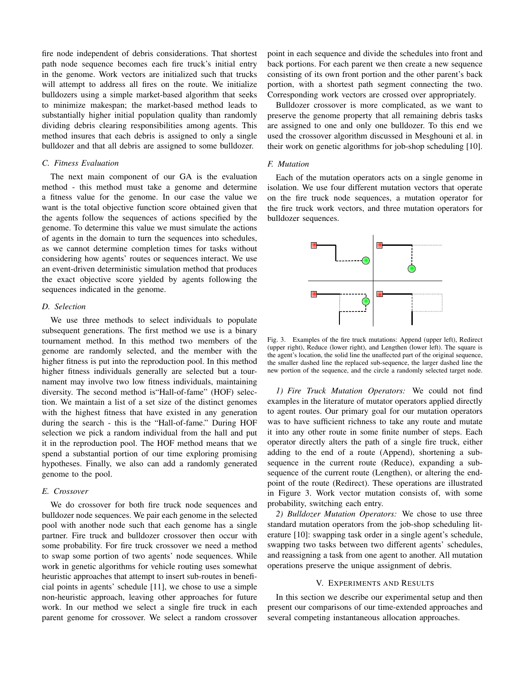fire node independent of debris considerations. That shortest path node sequence becomes each fire truck's initial entry in the genome. Work vectors are initialized such that trucks will attempt to address all fires on the route. We initialize bulldozers using a simple market-based algorithm that seeks to minimize makespan; the market-based method leads to substantially higher initial population quality than randomly dividing debris clearing responsibilities among agents. This method insures that each debris is assigned to only a single bulldozer and that all debris are assigned to some bulldozer.

### *C. Fitness Evaluation*

The next main component of our GA is the evaluation method - this method must take a genome and determine a fitness value for the genome. In our case the value we want is the total objective function score obtained given that the agents follow the sequences of actions specified by the genome. To determine this value we must simulate the actions of agents in the domain to turn the sequences into schedules, as we cannot determine completion times for tasks without considering how agents' routes or sequences interact. We use an event-driven deterministic simulation method that produces the exact objective score yielded by agents following the sequences indicated in the genome.

#### *D. Selection*

We use three methods to select individuals to populate subsequent generations. The first method we use is a binary tournament method. In this method two members of the genome are randomly selected, and the member with the higher fitness is put into the reproduction pool. In this method higher fitness individuals generally are selected but a tournament may involve two low fitness individuals, maintaining diversity. The second method is"Hall-of-fame" (HOF) selection. We maintain a list of a set size of the distinct genomes with the highest fitness that have existed in any generation during the search - this is the "Hall-of-fame." During HOF selection we pick a random individual from the hall and put it in the reproduction pool. The HOF method means that we spend a substantial portion of our time exploring promising hypotheses. Finally, we also can add a randomly generated genome to the pool.

# *E. Crossover*

We do crossover for both fire truck node sequences and bulldozer node sequences. We pair each genome in the selected pool with another node such that each genome has a single partner. Fire truck and bulldozer crossover then occur with some probability. For fire truck crossover we need a method to swap some portion of two agents' node sequences. While work in genetic algorithms for vehicle routing uses somewhat heuristic approaches that attempt to insert sub-routes in beneficial points in agents' schedule [11], we chose to use a simple non-heuristic approach, leaving other approaches for future work. In our method we select a single fire truck in each parent genome for crossover. We select a random crossover

point in each sequence and divide the schedules into front and back portions. For each parent we then create a new sequence consisting of its own front portion and the other parent's back portion, with a shortest path segment connecting the two. Corresponding work vectors are crossed over appropriately.

Bulldozer crossover is more complicated, as we want to preserve the genome property that all remaining debris tasks are assigned to one and only one bulldozer. To this end we used the crossover algorithm discussed in Mesghouni et al. in their work on genetic algorithms for job-shop scheduling [10].

# *F. Mutation*

Each of the mutation operators acts on a single genome in isolation. We use four different mutation vectors that operate on the fire truck node sequences, a mutation operator for the fire truck work vectors, and three mutation operators for bulldozer sequences.



Fig. 3. Examples of the fire truck mutations: Append (upper left), Redirect (upper right), Reduce (lower right), and Lengthen (lower left). The square is the agent's location, the solid line the unaffected part of the original sequence, the smaller dashed line the replaced sub-sequence, the larger dashed line the new portion of the sequence, and the circle a randomly selected target node.

*1) Fire Truck Mutation Operators:* We could not find examples in the literature of mutator operators applied directly to agent routes. Our primary goal for our mutation operators was to have sufficient richness to take any route and mutate it into any other route in some finite number of steps. Each operator directly alters the path of a single fire truck, either adding to the end of a route (Append), shortening a subsequence in the current route (Reduce), expanding a subsequence of the current route (Lengthen), or altering the endpoint of the route (Redirect). These operations are illustrated in Figure 3. Work vector mutation consists of, with some probability, switching each entry.

*2) Bulldozer Mutation Operators:* We chose to use three standard mutation operators from the job-shop scheduling literature [10]: swapping task order in a single agent's schedule, swapping two tasks between two different agents' schedules, and reassigning a task from one agent to another. All mutation operations preserve the unique assignment of debris.

# V. EXPERIMENTS AND RESULTS

In this section we describe our experimental setup and then present our comparisons of our time-extended approaches and several competing instantaneous allocation approaches.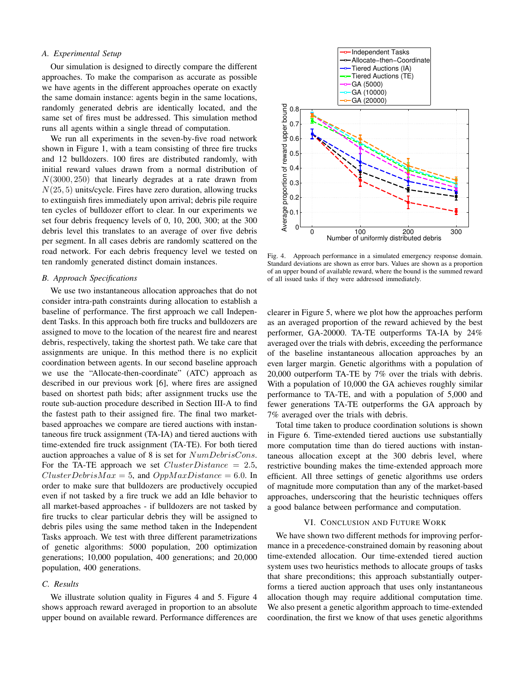# *A. Experimental Setup*

Our simulation is designed to directly compare the different approaches. To make the comparison as accurate as possible we have agents in the different approaches operate on exactly the same domain instance: agents begin in the same locations, randomly generated debris are identically located, and the same set of fires must be addressed. This simulation method runs all agents within a single thread of computation.

We run all experiments in the seven-by-five road network shown in Figure 1, with a team consisting of three fire trucks and 12 bulldozers. 100 fires are distributed randomly, with initial reward values drawn from a normal distribution of  $N(3000, 250)$  that linearly degrades at a rate drawn from  $N(25, 5)$  units/cycle. Fires have zero duration, allowing trucks to extinguish fires immediately upon arrival; debris pile require ten cycles of bulldozer effort to clear. In our experiments we set four debris frequency levels of 0, 10, 200, 300; at the 300 debris level this translates to an average of over five debris per segment. In all cases debris are randomly scattered on the road network. For each debris frequency level we tested on ten randomly generated distinct domain instances.

# *B. Approach Specifications*

We use two instantaneous allocation approaches that do not consider intra-path constraints during allocation to establish a baseline of performance. The first approach we call Independent Tasks. In this approach both fire trucks and bulldozers are assigned to move to the location of the nearest fire and nearest debris, respectively, taking the shortest path. We take care that assignments are unique. In this method there is no explicit coordination between agents. In our second baseline approach we use the "Allocate-then-coordinate" (ATC) approach as described in our previous work [6], where fires are assigned based on shortest path bids; after assignment trucks use the route sub-auction procedure described in Section III-A to find the fastest path to their assigned fire. The final two marketbased approaches we compare are tiered auctions with instantaneous fire truck assignment (TA-IA) and tiered auctions with time-extended fire truck assignment (TA-TE). For both tiered auction approaches a value of 8 is set for NumDebrisCons. For the TA-TE approach we set  $ClusterDistance = 2.5$ ,  $ClusterDebrisMax = 5$ , and  $OppMaxDistance = 6.0$ . In order to make sure that bulldozers are productively occupied even if not tasked by a fire truck we add an Idle behavior to all market-based approaches - if bulldozers are not tasked by fire trucks to clear particular debris they will be assigned to debris piles using the same method taken in the Independent Tasks approach. We test with three different parametrizations of genetic algorithms: 5000 population, 200 optimization generations; 10,000 population, 400 generations; and 20,000 population, 400 generations.

# *C. Results*

We illustrate solution quality in Figures 4 and 5. Figure 4 shows approach reward averaged in proportion to an absolute upper bound on available reward. Performance differences are



Fig. 4. Approach performance in a simulated emergency response domain. Standard deviations are shown as error bars. Values are shown as a proportion of an upper bound of available reward, where the bound is the summed reward of all issued tasks if they were addressed immediately.

clearer in Figure 5, where we plot how the approaches perform as an averaged proportion of the reward achieved by the best performer, GA-20000. TA-TE outperforms TA-IA by 24% averaged over the trials with debris, exceeding the performance of the baseline instantaneous allocation approaches by an even larger margin. Genetic algorithms with a population of 20,000 outperform TA-TE by 7% over the trials with debris. With a population of 10,000 the GA achieves roughly similar performance to TA-TE, and with a population of 5,000 and fewer generations TA-TE outperforms the GA approach by 7% averaged over the trials with debris.

Total time taken to produce coordination solutions is shown in Figure 6. Time-extended tiered auctions use substantially more computation time than do tiered auctions with instantaneous allocation except at the 300 debris level, where restrictive bounding makes the time-extended approach more efficient. All three settings of genetic algorithms use orders of magnitude more computation than any of the market-based approaches, underscoring that the heuristic techniques offers a good balance between performance and computation.

# VI. CONCLUSION AND FUTURE WORK

We have shown two different methods for improving performance in a precedence-constrained domain by reasoning about time-extended allocation. Our time-extended tiered auction system uses two heuristics methods to allocate groups of tasks that share preconditions; this approach substantially outperforms a tiered auction approach that uses only instantaneous allocation though may require additional computation time. We also present a genetic algorithm approach to time-extended coordination, the first we know of that uses genetic algorithms